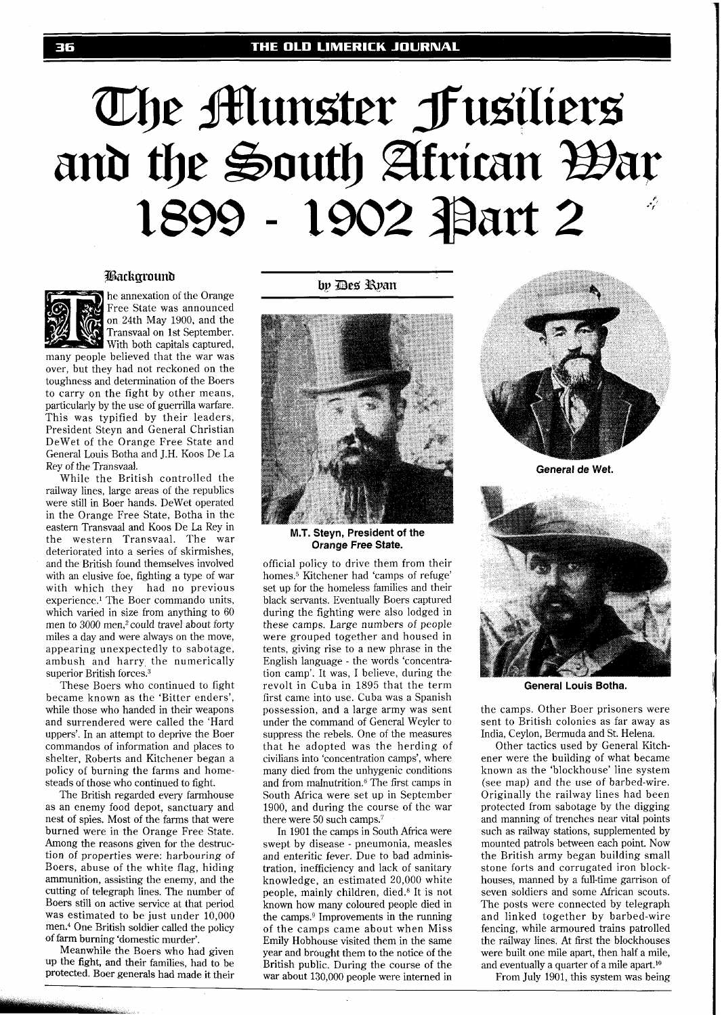# The Alunster Fusiliers and the South African Bar 1899 - 1902 Part 2

#### Background



he annexation of the Orange Free State was announced on 24th May 1900, and the Transvaal on 1st September. With both capitals captured,

many people believed that the war was over, but they had not reckoned on the toughness and determination of the Boers to carry on the fight by other means, particularly by the use of guerrilla warfare. This was typified by their leaders, President Steyn and General Christian DeWet of the Orange Free State and General Louis Botha and J.H. Koos De La Rey of the Transvaal.

While the British controlled the railway lines, large areas of the republics were still in Boer hands. DeWet operated in the Orange Free State, Botha in the eastern Transvaal and Koos De La Rey in the western Transvaal. The war deteriorated into a series of skirmishes, and the British found themselves involved with an elusive foe, fighting a type of war with which they had no previous experience.' The Boer commando units, which varied in size from anything to 60 men to 3000 men,<sup>2</sup> could travel about forty miles a day and were always on the move, appearing unexpectedly to sabotage, ambush and harry, the numerically superior British forces.<sup>3</sup>

These Boers who continued to fight became known as the 'Bitter enders', while those who handed in their weapons and surrendered were called the 'Hard uppers'. In an attempt to deprive the Boer commandos of information and places to shelter, Roberts and Kitchener began a policy of burning the farms and homesteads of those who continued to fight.

The British regarded every farmhouse as an enemy food depot, sanctuary and nest of spies. Most of the farms that were burned were in the Orange Free State. Among the reasons given for the destruction of properties were: harbouring of Boers, abuse of the white flag, hiding ammunition, assisting the enemy, and the cutting of telegraph lines. The number of Boers still on active service at that period was estimated to be just under 10,000 men.4 One British soldier called the policy of farm burning 'domestic murder'.

Meanwhile the Boers who had given up the fight, and their families, had to be protected. Boer generals had made it their by Des Ryan



**M.T. Steyn, President of the Orange Free State.** 

official policy to drive them from their homes.5 Kitchener had 'camps of refuge' set up for the homeless families and their black servants. Eventually Boers captured during the fighting were also lodged in these camps. Large numbers of people were grouped together and housed in tents, giving rise to a new phrase in the English language - the words 'concentration camp'. It was, I believe, during the revolt in Cuba in 1895 that the term first came into use. Cuba was a Spanish possession, and a large army was sent under the command of General Weyler to suppress the rebels. One of the measures that he adopted was the herding of civilians into 'concentration camps', where many died from the unhygenic conditions and from malnutrition.<sup>6</sup> The first camps in South Africa were set up in September 1900, and during the course of the war there were  $50$  such camps.<sup>7</sup>

In 1901 the camps in South Africa were swept by disease - pneumonia, measles and enteritic fever. Due to bad administration, inefficiency and lack of sanitary knowledge, an estimated 20,000 white people, mainly children, died.8 It is not known how many coloured people died in the camps.<sup>9</sup> Improvements in the running of the camps came about when Miss Emily Hobhouse visited them in the same year and brought them to the notice of the British public. During the course of the war about 130,000 people were interned in



**General de Wet.** 



**General Louis Botha.** 

the camps. Other Boer prisoners were sent to British colonies as far away as India, Ceylon, Bermuda and St. Helena.

Other tactics used by General Kitchener were the building of what became known as the 'blockhouse' line system (see map) and the use of barbed-wire. Originally the railway lines had been protected from sabotage by the digging and manning of trenches near vital points such as railway stations, supplemented by mounted patrols between each point. Now the British army began building small stone forts and corrugated iron blockhouses, manned by a full-time garrison of seven soldiers and some African scouts. The posts were connected by telegraph and linked together by barbed-wire fencing, while armoured trains patrolled the railway lines. At first the blockhouses were built one mile apart, then half a mile, and eventually a quarter of a mile apart.1°

From July 1901, this system was being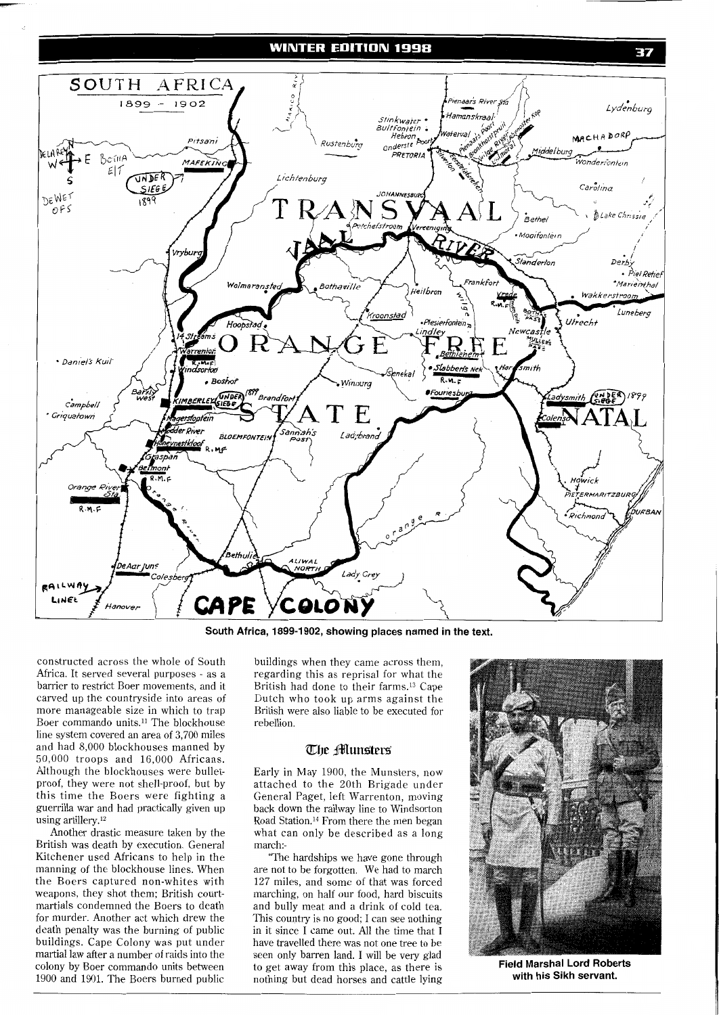# **WINTER EDITION 1998**



**South Africa, 1899-1902, showing places named in the text.** 

constructed across the whole of South Africa. It served several purposes - as a barrier to restrict Boer movements, and it carved up the countryside into areas of more manageable size in which to trap Boer commando units.<sup>11</sup> The blockhouse line system covered an area of 3,700 miles and had 8,000 blockhouses manned by 50,000 troops and 16,000 Africans. Although the blockhouses were bulletproof, they were not shell-proof, but by this time the Boers were fighting a guerrilla war and had practically given up using artillery. $12$ 

Another drastic measure taken by the British was death by execution. General Kitchener used Africans to help in the manning of the blockhouse lines. When the Boers captured non-whites with weapons, they shot them; British courtmartials condemned the Boers to death for murder. Another act which drew the death penalty was the burning of public buildings. Cape Colony was put under martial law after a number of raids into the colony by Boer commando units between 1900 and 1901. The Boers burned public

buildings when they came across them, regarding this as reprisal for what the British had done to their farms.13 Cape Dutch who took up arms against the British were also liable to be executed for rebellion.

## The **Munsters**

Early in May 1900, the Munsters, now attached to the 20th Brigade under General Paget, left Warrenton, moving back down the railway line to Windsorton Road Station.14 From there the men began what can only be described as a long march:-

'The hardships we have gone through are not to be forgotten. We had to march 127 miles, and some of that was forced marching, on half our food, hard biscuits and bully meat and a drink of cold tea. This country is no good; I can see nothing in it since I came out. All the time that I have travelled there was not one tree to be seen only barren land. I will be very glad to get away from this place, as there is nothing but dead horses and cattle lying



**Field Marshal Lord Roberts with his Sikh servant.** 

37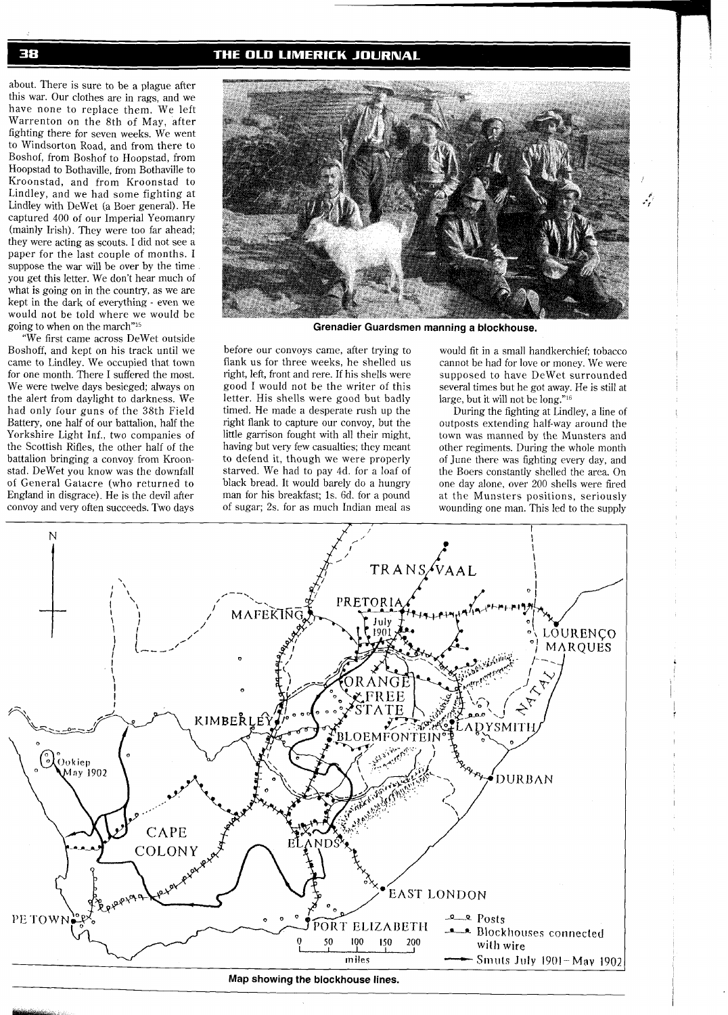# THE OLD LIMERICK JOURNAL

about. There is sure to be a plague after this war. Our clothes are in rags, and we have none to replace them. We left Warrenton on the 8th of May, after fighting there for seven weeks. We went to Windsorton Road, and from there to Boshof, from Boshof to Hoopstad, from Hoopstad to Bothaville, from Bothaville to Kroonstad, and from Kroonstad to Lindley, and we had some fighting at Lindley with DeWet (a Boer general). He captured 400 of our Imperial Yeomanry (mainly Irish). They were too far ahead; they were acting as scouts. I did not see a paper for the last couple of months. I suppose the war will be over by the time you get this letter. We don't hear much of what is going on in the country, as we are kept in the dark of everything - even we would not be told where we would be going to when on the march"15

"We first came across DeWet outside Boshoff, and kept on his track until we came to Lindley. We occupied that town for one month. There I suffered the most. We were twelve days besieged; always on the alert from daylight to darkness. We had only four guns of the 38th Field Battery, one half of our battalion, half the Yorkshire Light Inf., two companies of the Scottish Rifles, the other half of the battalion bringing a convoy from Kroonstad. DeWet you know was the downfall of General Gatacre (who returned to England in disgrace). He is the devil after convoy and very often succeeds. Two days



**Grenadier Guardsmen manning a blockhouse.** 

before our convoys came, after trying to flank us for three weeks, he shelled us right, left, front and rere. If his shells were good I would not be the writer of this letter. His shells were good but badly timed. He made a desperate rush up the right flank to capture our convoy, but the little garrison fought with all their might, having but very few casualties; they meant to defend it, though we were properly starved. We had to pay 4d. for a loaf of black bread. It would barely do a hungry man for his breakfast; 1s. 6d. for a pound of sugar; 2s. for as much Indian meal as

would fit in a small handkerchief; tobacco cannot be had for love or money. We were supposed to have DeWet surrounded several times but he got away. He is still at large, but it will not be long."l6

أثبوه

During the fighting at Lindley, a line of outposts extending half-way around the town was manned by the Munsters and other regiments. During the whole month of June there was fighting every day, and the Boers constantly shelled the area. On one day alone, over 200 shells were fired at the Munsters positions, seriously wounding one man. This led to the supply



38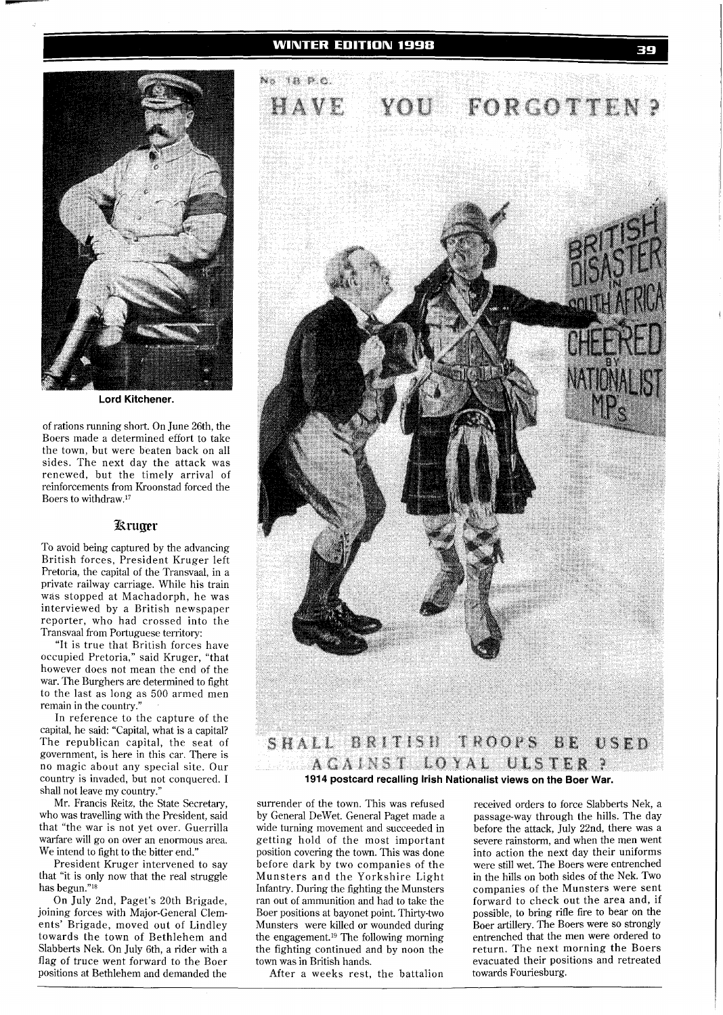

**Lord Kitchener.** 

of rations running short. On June 26th, the Boers made a determined effort to take the town, but were beaten back on all sides. The next day the attack was renewed, but the timely arrival of reinforcements from Kroonstad forced the Boers to withdraw.17

# **Kruger**

To avoid being captured by the advancing British forces, President Kruger left Pretoria, the capital of the Transvaal, in a private railway carriage. While his train was stopped at Machadorph, he was interviewed by a British newspaper reporter, who had crossed into the Transvaal from Portuguese territory:

"It is true that British forces have occupied Pretoria," said Kruger, "that however does not mean the end of the war. The Burghers are determined to fight to the last as long as 500 armed men remain in the country."

In reference to the capture of the capital, he said: "Capital, what is a capital? The republican capital, the seat of government, is here in this car. There is no magic about any special site. Our country is invaded, but not conquered. I shall not leave my country."

Mr. Francis Reitz, the State Secretary, who was travelling with the President, said that "the war is not yet over. Guerrilla warfare will go on over an enormous area. We intend to fight to the bitter end."

President Kruger intervened to say that "it is only now that the real struggle has begun."l8

On July 2nd, Paget's 20th Brigade, joining forces with Major-General Clements' Brigade, moved out of Lindley towards the town of Bethlehem and Slabberts Nek. On July 6th, a rider with a flag of truce went forward to the Boer positions at Bethlehem and demanded the



surrender of the town. This was refused by General DeWet. General Paget made a wide turning movement and succeeded in getting hold of the most important position covering the town. This was done before dark by two companies of the Munsters and the Yorkshire Light Infantry. During the fighting the Munsters ran out of ammunition and had to take the Boer positions at bayonet point. Thirty-two Munsters were killed or wounded during the engagement.<sup>19</sup> The following morning the fighting continued and by noon the town was in British hands.

After a weeks rest, the battalion

received orders to force Slabberts Nek, a passage-way through the hills. The day before the attack, July 22nd, there was a severe rainstorm, and when the men went into action the next day their uniforms were still wet. The Boers were entrenched in the hills on both sides of the Nek. Two companies of the Munsters were sent forward to check out the area and, if possible, to bring rifle fire to bear on the Boer artillery. The Boers were so strongly entrenched that the men were ordered to return. The next morning the Boers evacuated their positions and retreated towards Fouriesburg.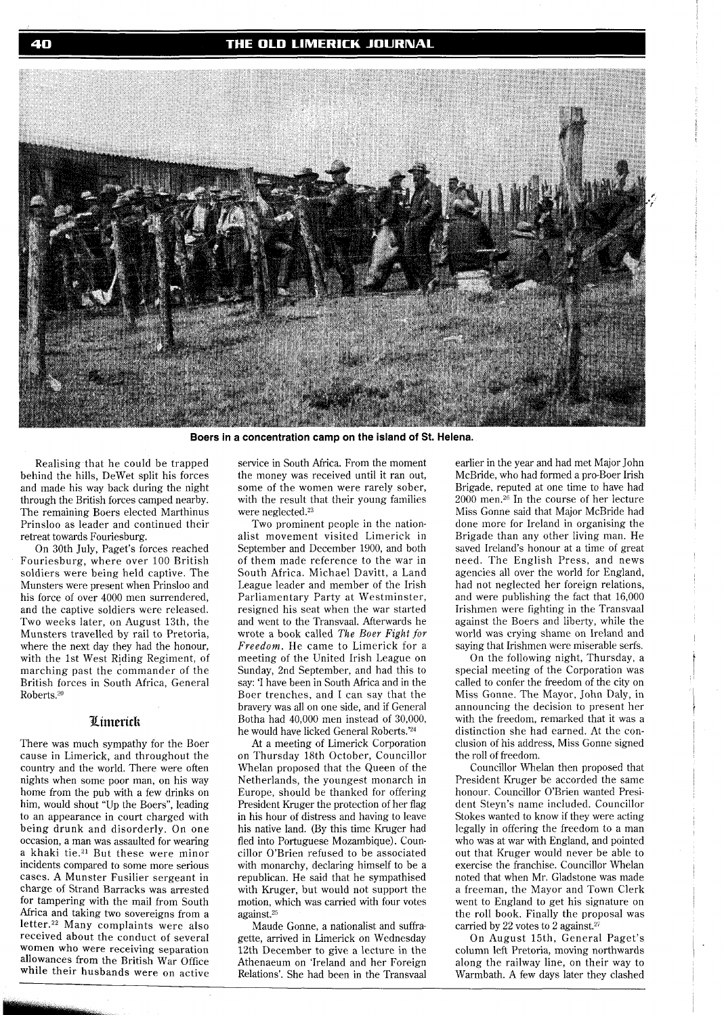## THE OLD LIMERICK JOURNAL



**Boers in a concentration camp on the island of St. Helena.** 

Realising that he could be trapped behind the hills, DeWet split his forces and made his way back during the night through the British forces camped nearby. The remaining Boers elected Marthinus Prinsloo as leader and continued their retreat towards Fouriesburg.

On 30th July, Paget's forces reached Fouriesburg, where over 100 British soldiers were being held captive. The Munsters were present when Prinsloo and his force of over 4000 men surrendered, and the captive soldiers were released. Two weeks later, on August 13th, the Munsters travelled by rail to Pretoria, where the next day they had the honour, with the 1st West Riding Regiment, of marching past the commander of the British forces in South Africa, General Roberts.<sup>20</sup>

## Limerick

There was much sympathy for the Boer cause in Limerick, and throughout the country and the world. There were often nights when some poor man, on his way home from the pub with a few drinks on him, would shout "Up the Boers", leading to an appearance in court charged with being drunk and disorderly. On one occasion, a man was assaulted for wearing a khaki tie.21 But these were minor incidents compared to some more serious cases. A Munster Fusilier sergeant in charge of Strand Barracks was arrested for tampering with the mail from South Africa and taking two sovereigns from a letter.22 Many complaints were also received about the conduct of several women who were receiving separation allowances from the British War Office while their husbands were on active

service in South Africa. From the moment the money was received until it ran out, some of the women were rarely sober, with the result that their young families were neglected.23

Two prominent people in the nationalist movement visited Limerick in September and December 1900, and both of them made reference to the war in South Africa. Michael Davitt, a Land League leader and member of the Irish Parliamentary Party at Westminster, resigned his seat when the war started and went to the Transvaal. Afterwards he wrote a book called *The Boer Fight for Freedom.* He came to Limerick for a meeting of the United Irish League on Sunday, 2nd September, and had this to say: 'I have been in South Africa and in the Boer trenches, and I can say that the bravery was all on one side, and if General Botha had 40,000 men instead of 30,000, he would have licked General Roberts.'24

At a meeting of Limerick Corporation on Thursday 18th October, Councillor Whelan proposed that the Queen of the Netherlands, the youngest monarch in Europe, should be thanked for offering President Kruger the protection of her flag in his hour of distress and having to leave his native land. (By this time Kruger had fled into Portuguese Mozambique). Councillor O'Brien refused to be associated with monarchy, declaring himself to be a republican. He said that he sympathised with Kruger, but would not support the motion, which was carried with four votes against.<sup>25</sup>

Maude Gonne, a nationalist and suffragette, arrived in Limerick on Wednesday 12th December to give a lecture in the Athenaeum on 'Ireland and her Foreign Relations'. She had been in the Transvaal earlier in the year and had met Major John McBride, who had formed a pro-Boer Irish Brigade, reputed at one time to have had  $2000$  men.<sup>26</sup> In the course of her lecture Miss Gonne said that Major McBride had done more for Ireland in organising the Brigade than any other living man. He saved Ireland's honour at a time of great need. The English Press, and news agencies all over the world for England, had not neglected her foreign relations, and were publishing the fact that 16,000 Irishmen were fighting in the Transvaal against the Boers and liberty, while the world was crying shame on Ireland and saying that Irishmen were miserable serfs.

On the following night, Thursday, a special meeting of the Corporation was called to confer the freedom of the city on Miss Gonne. The Mayor, John Daly, in announcing the decision to present her with the freedom, remarked that it was a distinction she had earned. At the conclusion of his address, Miss Gonne signed the roll of freedom.

Councillor Whelan then proposed that President Kruger be accorded the same honour. Councillor O'Brien wanted President Steyn's name included. Councillor Stokes wanted to know if they were acting legally in offering the freedom to a man who was at war with England, and pointed out that Kruger would never be able to exercise the franchise. Councillor Whelan noted that when Mr. Gladstone was made a freeman, the Mayor and Town Clerk went to England to get his signature on the roll book. Finally the proposal was carried by 22 votes to 2 against.<sup>27</sup>

On August 15th, General Paget's column left Pretoria, moving northwards along the railway line, on their way to Warmbath. A few days later they clashed